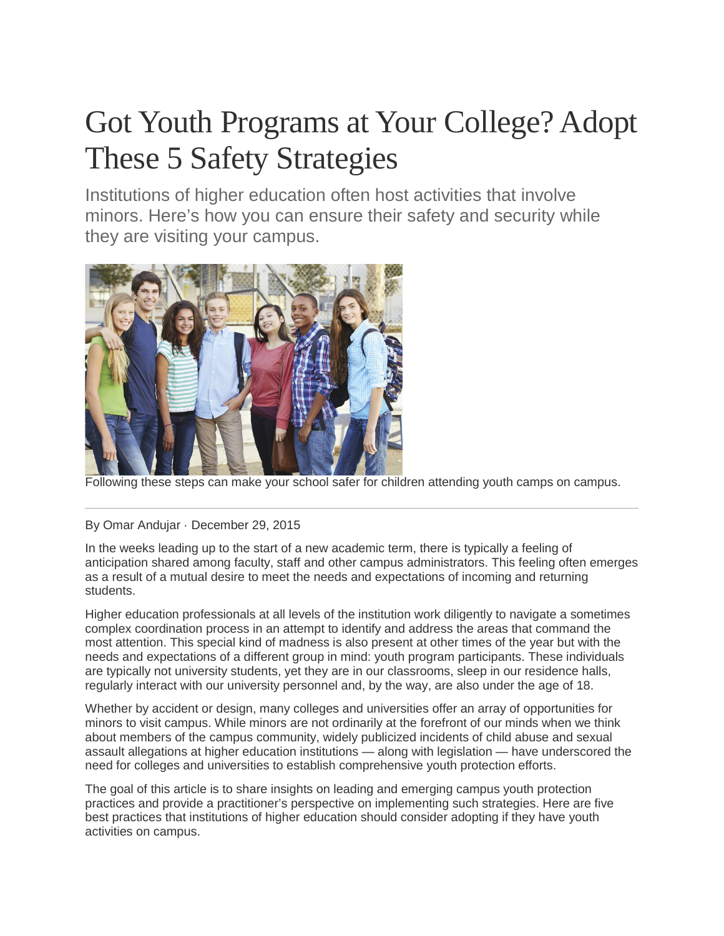# Got Youth Programs at Your College? Adopt These 5 Safety Strategies

Institutions of higher education often host activities that involve minors. Here's how you can ensure their safety and security while they are visiting your campus.



Following these steps can make your school safer for children attending youth camps on campus.

## By Omar Andujar · December 29, 2015

In the weeks leading up to the start of a new academic term, there is typically a feeling of anticipation shared among faculty, staff and other campus administrators. This feeling often emerges as a result of a mutual desire to meet the needs and expectations of incoming and returning students.

Higher education professionals at all levels of the institution work diligently to navigate a sometimes complex coordination process in an attempt to identify and address the areas that command the most attention. This special kind of madness is also present at other times of the year but with the needs and expectations of a different group in mind: youth program participants. These individuals are typically not university students, yet they are in our classrooms, sleep in our residence halls, regularly interact with our university personnel and, by the way, are also under the age of 18.

Whether by accident or design, many colleges and universities offer an array of opportunities for minors to visit campus. While minors are not ordinarily at the forefront of our minds when we think about members of the campus community, widely publicized incidents of child abuse and sexual assault allegations at higher education institutions — along with legislation — have underscored the need for colleges and universities to establish comprehensive youth protection efforts.

The goal of this article is to share insights on leading and emerging campus youth protection practices and provide a practitioner's perspective on implementing such strategies. Here are five best practices that institutions of higher education should consider adopting if they have youth activities on campus.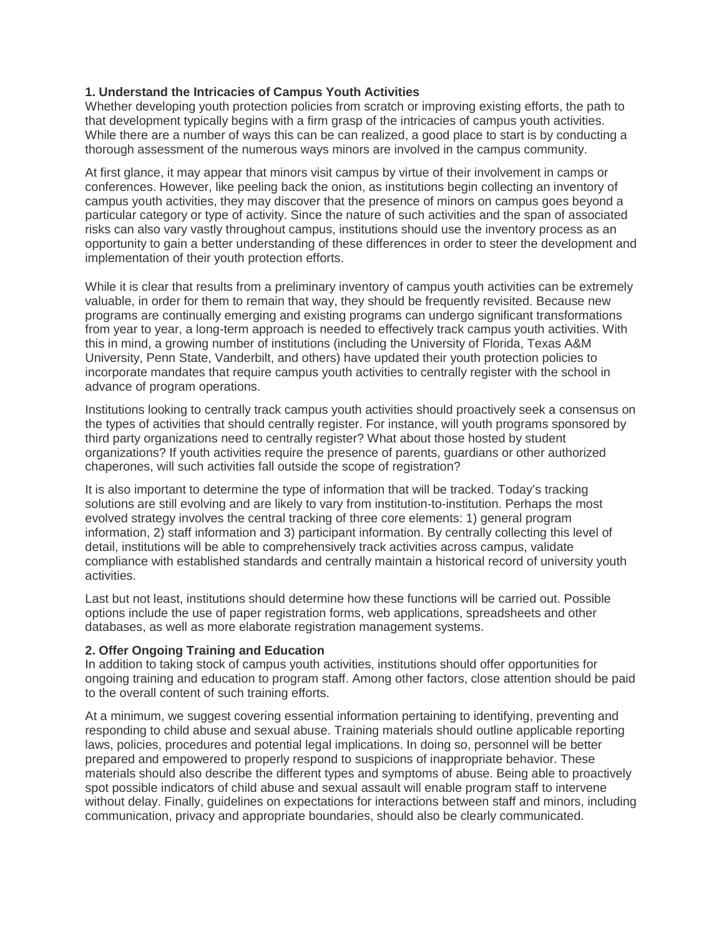## **1. Understand the Intricacies of Campus Youth Activities**

Whether developing youth protection policies from scratch or improving existing efforts, the path to that development typically begins with a firm grasp of the intricacies of campus youth activities. While there are a number of ways this can be can realized, a good place to start is by conducting a thorough assessment of the numerous ways minors are involved in the campus community.

At first glance, it may appear that minors visit campus by virtue of their involvement in camps or conferences. However, like peeling back the onion, as institutions begin collecting an inventory of campus youth activities, they may discover that the presence of minors on campus goes beyond a particular category or type of activity. Since the nature of such activities and the span of associated risks can also vary vastly throughout campus, institutions should use the inventory process as an opportunity to gain a better understanding of these differences in order to steer the development and implementation of their youth protection efforts.

While it is clear that results from a preliminary inventory of campus youth activities can be extremely valuable, in order for them to remain that way, they should be frequently revisited. Because new programs are continually emerging and existing programs can undergo significant transformations from year to year, a long-term approach is needed to effectively track campus youth activities. With this in mind, a growing number of institutions (including the University of Florida, Texas A&M University, Penn State, Vanderbilt, and others) have updated their youth protection policies to incorporate mandates that require campus youth activities to centrally register with the school in advance of program operations.

Institutions looking to centrally track campus youth activities should proactively seek a consensus on the types of activities that should centrally register. For instance, will youth programs sponsored by third party organizations need to centrally register? What about those hosted by student organizations? If youth activities require the presence of parents, guardians or other authorized chaperones, will such activities fall outside the scope of registration?

It is also important to determine the type of information that will be tracked. Today's tracking solutions are still evolving and are likely to vary from institution-to-institution. Perhaps the most evolved strategy involves the central tracking of three core elements: 1) general program information, 2) staff information and 3) participant information. By centrally collecting this level of detail, institutions will be able to comprehensively track activities across campus, validate compliance with established standards and centrally maintain a historical record of university youth activities.

Last but not least, institutions should determine how these functions will be carried out. Possible options include the use of paper registration forms, web applications, spreadsheets and other databases, as well as more elaborate registration management systems.

## **2. Offer Ongoing Training and Education**

In addition to taking stock of campus youth activities, institutions should offer opportunities for ongoing training and education to program staff. Among other factors, close attention should be paid to the overall content of such training efforts.

At a minimum, we suggest covering essential information pertaining to identifying, preventing and responding to child abuse and sexual abuse. Training materials should outline applicable reporting laws, policies, procedures and potential legal implications. In doing so, personnel will be better prepared and empowered to properly respond to suspicions of inappropriate behavior. These materials should also describe the different types and symptoms of abuse. Being able to proactively spot possible indicators of child abuse and sexual assault will enable program staff to intervene without delay. Finally, guidelines on expectations for interactions between staff and minors, including communication, privacy and appropriate boundaries, should also be clearly communicated.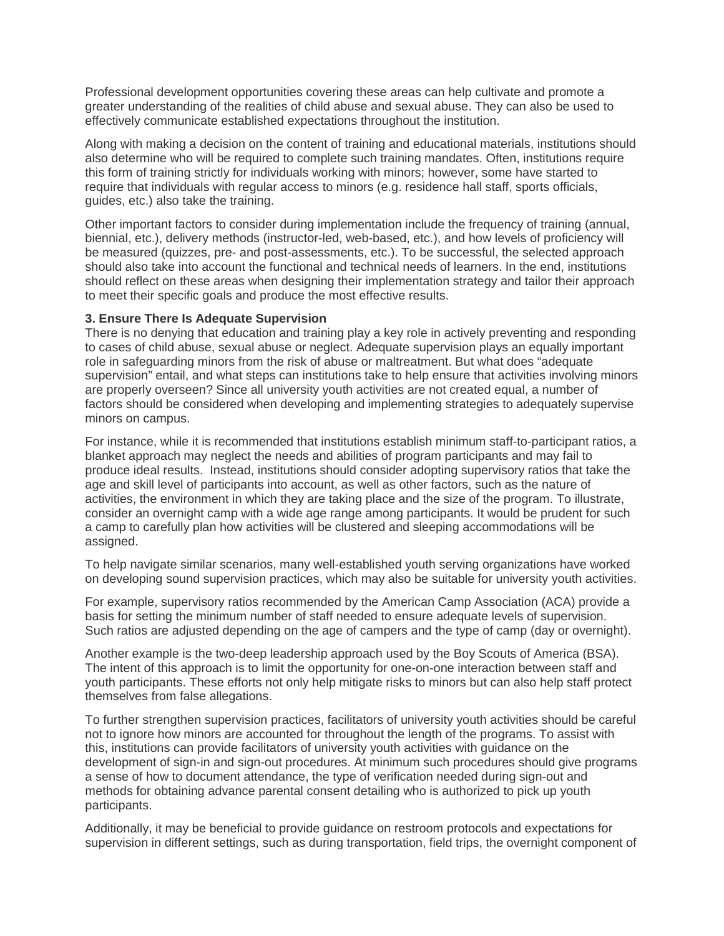Professional development opportunities covering these areas can help cultivate and promote a greater understanding of the realities of child abuse and sexual abuse. They can also be used to effectively communicate established expectations throughout the institution.

Along with making a decision on the content of training and educational materials, institutions should also determine who will be required to complete such training mandates. Often, institutions require this form of training strictly for individuals working with minors; however, some have started to require that individuals with regular access to minors (e.g. residence hall staff, sports officials, guides, etc.) also take the training.

Other important factors to consider during implementation include the frequency of training (annual, biennial, etc.), delivery methods (instructor-led, web-based, etc.), and how levels of proficiency will be measured (quizzes, pre- and post-assessments, etc.). To be successful, the selected approach should also take into account the functional and technical needs of learners. In the end, institutions should reflect on these areas when designing their implementation strategy and tailor their approach to meet their specific goals and produce the most effective results.

## **3. Ensure There Is Adequate Supervision**

There is no denying that education and training play a key role in actively preventing and responding to cases of child abuse, sexual abuse or neglect. Adequate supervision plays an equally important role in safeguarding minors from the risk of abuse or maltreatment. But what does "adequate supervision" entail, and what steps can institutions take to help ensure that activities involving minors are properly overseen? Since all university youth activities are not created equal, a number of factors should be considered when developing and implementing strategies to adequately supervise minors on campus.

For instance, while it is recommended that institutions establish minimum staff-to-participant ratios, a blanket approach may neglect the needs and abilities of program participants and may fail to produce ideal results. Instead, institutions should consider adopting supervisory ratios that take the age and skill level of participants into account, as well as other factors, such as the nature of activities, the environment in which they are taking place and the size of the program. To illustrate, consider an overnight camp with a wide age range among participants. It would be prudent for such a camp to carefully plan how activities will be clustered and sleeping accommodations will be assigned.

To help navigate similar scenarios, many well-established youth serving organizations have worked on developing sound supervision practices, which may also be suitable for university youth activities.

For example, supervisory ratios recommended by the American Camp Association (ACA) provide a basis for setting the minimum number of staff needed to ensure adequate levels of supervision. Such ratios are adjusted depending on the age of campers and the type of camp (day or overnight).

Another example is the two-deep leadership approach used by the Boy Scouts of America (BSA). The intent of this approach is to limit the opportunity for one-on-one interaction between staff and youth participants. These efforts not only help mitigate risks to minors but can also help staff protect themselves from false allegations.

To further strengthen supervision practices, facilitators of university youth activities should be careful not to ignore how minors are accounted for throughout the length of the programs. To assist with this, institutions can provide facilitators of university youth activities with guidance on the development of sign-in and sign-out procedures. At minimum such procedures should give programs a sense of how to document attendance, the type of verification needed during sign-out and methods for obtaining advance parental consent detailing who is authorized to pick up youth participants.

Additionally, it may be beneficial to provide guidance on restroom protocols and expectations for supervision in different settings, such as during transportation, field trips, the overnight component of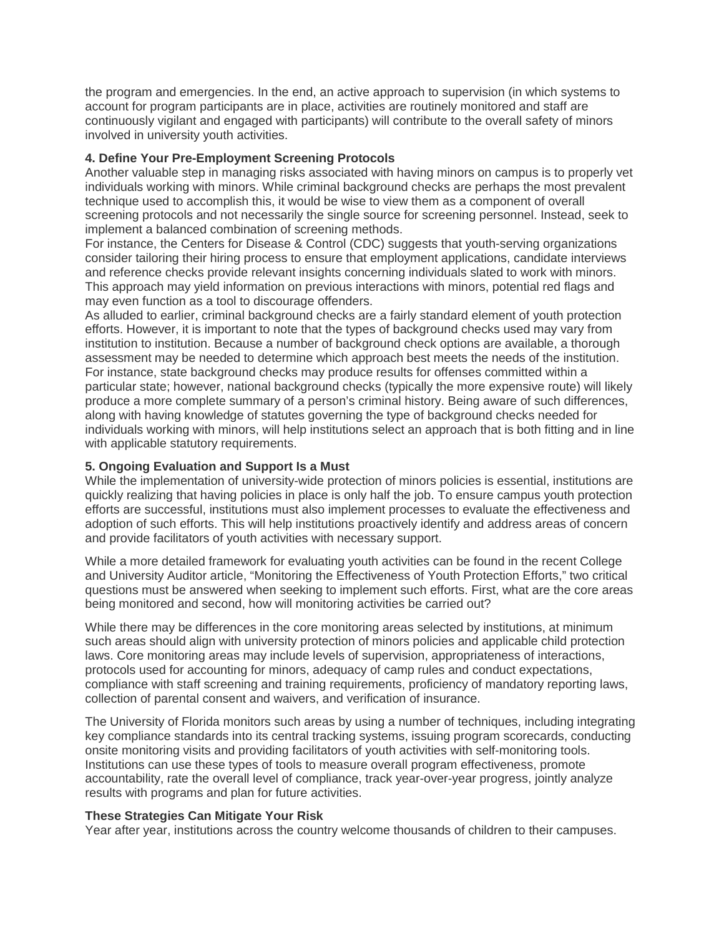the program and emergencies. In the end, an active approach to supervision (in which systems to account for program participants are in place, activities are routinely monitored and staff are continuously vigilant and engaged with participants) will contribute to the overall safety of minors involved in university youth activities.

## **4. Define Your Pre-Employment Screening Protocols**

Another valuable step in managing risks associated with having minors on campus is to properly vet individuals working with minors. While criminal background checks are perhaps the most prevalent technique used to accomplish this, it would be wise to view them as a component of overall screening protocols and not necessarily the single source for screening personnel. Instead, seek to implement a balanced combination of screening methods.

For instance, the Centers for Disease & Control (CDC) suggests that youth-serving organizations consider tailoring their hiring process to ensure that employment applications, candidate interviews and reference checks provide relevant insights concerning individuals slated to work with minors. This approach may yield information on previous interactions with minors, potential red flags and may even function as a tool to discourage offenders.

As alluded to earlier, criminal background checks are a fairly standard element of youth protection efforts. However, it is important to note that the types of background checks used may vary from institution to institution. Because a number of background check options are available, a thorough assessment may be needed to determine which approach best meets the needs of the institution. For instance, state background checks may produce results for offenses committed within a particular state; however, national background checks (typically the more expensive route) will likely produce a more complete summary of a person's criminal history. Being aware of such differences, along with having knowledge of statutes governing the type of background checks needed for individuals working with minors, will help institutions select an approach that is both fitting and in line with applicable statutory requirements.

## **5. Ongoing Evaluation and Support Is a Must**

While the implementation of university-wide protection of minors policies is essential, institutions are quickly realizing that having policies in place is only half the job. To ensure campus youth protection efforts are successful, institutions must also implement processes to evaluate the effectiveness and adoption of such efforts. This will help institutions proactively identify and address areas of concern and provide facilitators of youth activities with necessary support.

While a more detailed framework for evaluating youth activities can be found in the recent College and University Auditor article, "Monitoring the Effectiveness of Youth Protection Efforts," two critical questions must be answered when seeking to implement such efforts. First, what are the core areas being monitored and second, how will monitoring activities be carried out?

While there may be differences in the core monitoring areas selected by institutions, at minimum such areas should align with university protection of minors policies and applicable child protection laws. Core monitoring areas may include levels of supervision, appropriateness of interactions, protocols used for accounting for minors, adequacy of camp rules and conduct expectations, compliance with staff screening and training requirements, proficiency of mandatory reporting laws, collection of parental consent and waivers, and verification of insurance.

The University of Florida monitors such areas by using a number of techniques, including integrating key compliance standards into its central tracking systems, issuing program scorecards, conducting onsite monitoring visits and providing facilitators of youth activities with self-monitoring tools. Institutions can use these types of tools to measure overall program effectiveness, promote accountability, rate the overall level of compliance, track year-over-year progress, jointly analyze results with programs and plan for future activities.

#### **These Strategies Can Mitigate Your Risk**

Year after year, institutions across the country welcome thousands of children to their campuses.